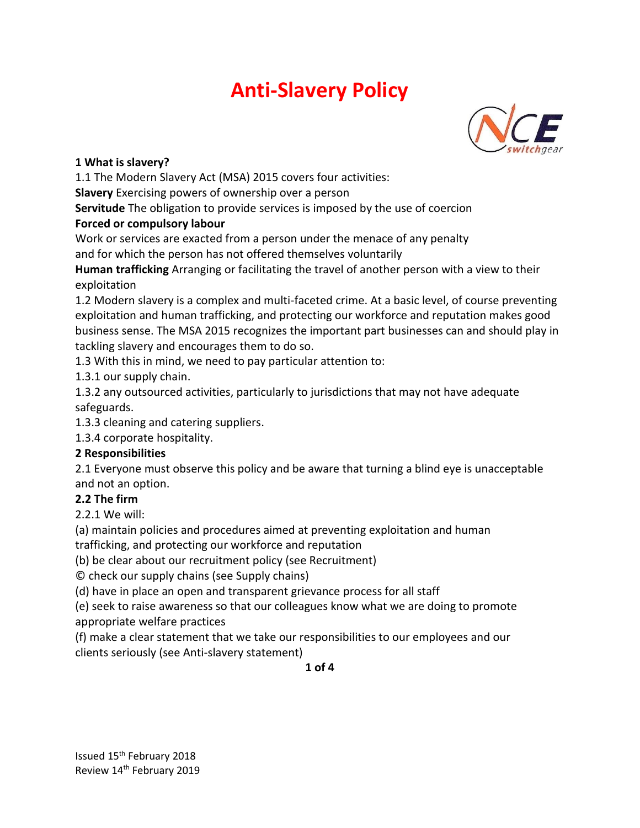

#### **1 What is slavery?**

1.1 The Modern Slavery Act (MSA) 2015 covers four activities:

**Slavery** Exercising powers of ownership over a person

**Servitude** The obligation to provide services is imposed by the use of coercion **Forced or compulsory labour**

Work or services are exacted from a person under the menace of any penalty and for which the person has not offered themselves voluntarily

**Human trafficking** Arranging or facilitating the travel of another person with a view to their exploitation

1.2 Modern slavery is a complex and multi-faceted crime. At a basic level, of course preventing exploitation and human trafficking, and protecting our workforce and reputation makes good business sense. The MSA 2015 recognizes the important part businesses can and should play in tackling slavery and encourages them to do so.

1.3 With this in mind, we need to pay particular attention to:

1.3.1 our supply chain.

1.3.2 any outsourced activities, particularly to jurisdictions that may not have adequate safeguards.

1.3.3 cleaning and catering suppliers.

1.3.4 corporate hospitality.

#### **2 Responsibilities**

2.1 Everyone must observe this policy and be aware that turning a blind eye is unacceptable and not an option.

## **2.2 The firm**

2.2.1 We will:

(a) maintain policies and procedures aimed at preventing exploitation and human

trafficking, and protecting our workforce and reputation

(b) be clear about our recruitment policy (see Recruitment)

© check our supply chains (see Supply chains)

(d) have in place an open and transparent grievance process for all staff

(e) seek to raise awareness so that our colleagues know what we are doing to promote appropriate welfare practices

(f) make a clear statement that we take our responsibilities to our employees and our clients seriously (see Anti-slavery statement)

**1 of 4**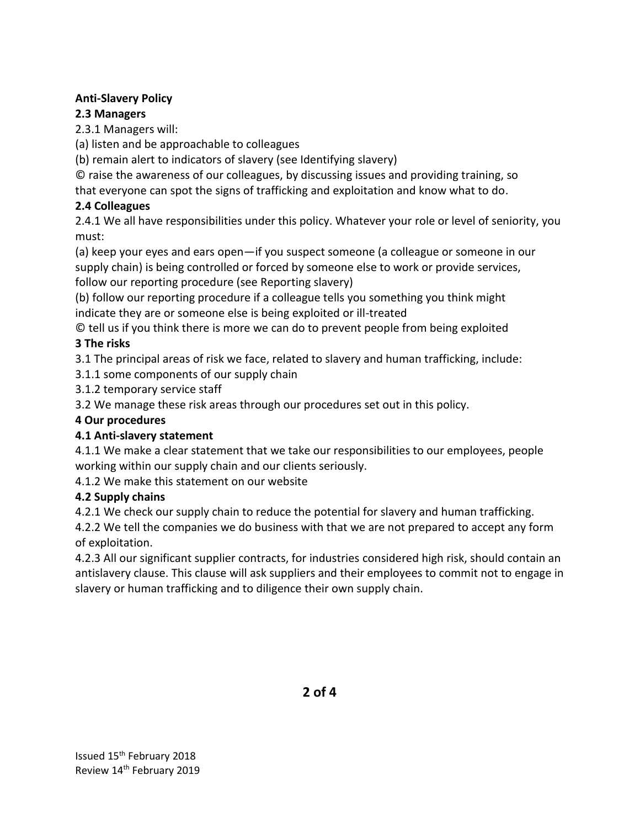## **2.3 Managers**

2.3.1 Managers will:

(a) listen and be approachable to colleagues

(b) remain alert to indicators of slavery (see Identifying slavery)

© raise the awareness of our colleagues, by discussing issues and providing training, so

that everyone can spot the signs of trafficking and exploitation and know what to do.

# **2.4 Colleagues**

2.4.1 We all have responsibilities under this policy. Whatever your role or level of seniority, you must:

(a) keep your eyes and ears open—if you suspect someone (a colleague or someone in our supply chain) is being controlled or forced by someone else to work or provide services, follow our reporting procedure (see Reporting slavery)

(b) follow our reporting procedure if a colleague tells you something you think might indicate they are or someone else is being exploited or ill-treated

© tell us if you think there is more we can do to prevent people from being exploited **3 The risks**

3.1 The principal areas of risk we face, related to slavery and human trafficking, include:

3.1.1 some components of our supply chain

3.1.2 temporary service staff

3.2 We manage these risk areas through our procedures set out in this policy.

## **4 Our procedures**

# **4.1 Anti-slavery statement**

4.1.1 We make a clear statement that we take our responsibilities to our employees, people working within our supply chain and our clients seriously.

4.1.2 We make this statement on our website

# **4.2 Supply chains**

4.2.1 We check our supply chain to reduce the potential for slavery and human trafficking.

4.2.2 We tell the companies we do business with that we are not prepared to accept any form of exploitation.

4.2.3 All our significant supplier contracts, for industries considered high risk, should contain an antislavery clause. This clause will ask suppliers and their employees to commit not to engage in slavery or human trafficking and to diligence their own supply chain.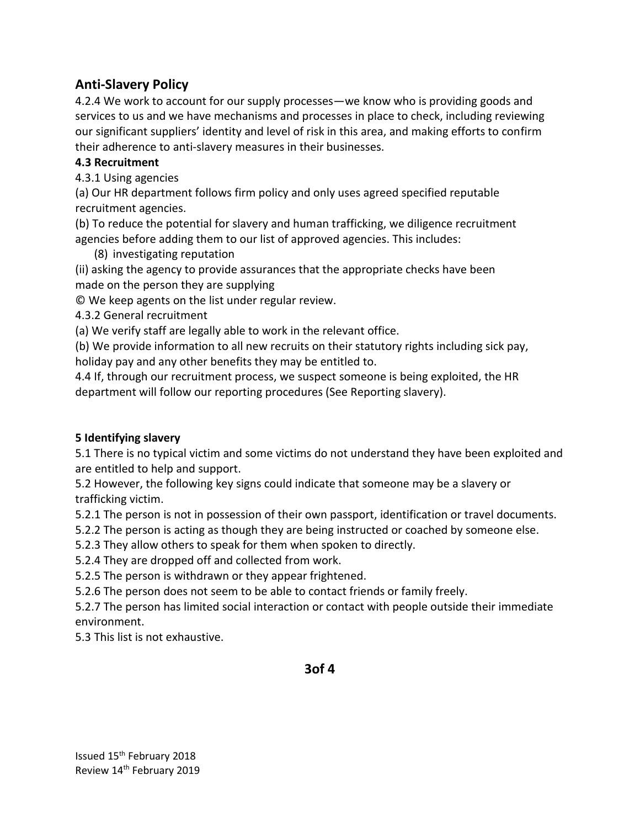4.2.4 We work to account for our supply processes—we know who is providing goods and services to us and we have mechanisms and processes in place to check, including reviewing our significant suppliers' identity and level of risk in this area, and making efforts to confirm their adherence to anti-slavery measures in their businesses.

## **4.3 Recruitment**

4.3.1 Using agencies

(a) Our HR department follows firm policy and only uses agreed specified reputable recruitment agencies.

(b) To reduce the potential for slavery and human trafficking, we diligence recruitment agencies before adding them to our list of approved agencies. This includes:

(8) investigating reputation

(ii) asking the agency to provide assurances that the appropriate checks have been made on the person they are supplying

© We keep agents on the list under regular review.

4.3.2 General recruitment

(a) We verify staff are legally able to work in the relevant office.

(b) We provide information to all new recruits on their statutory rights including sick pay, holiday pay and any other benefits they may be entitled to.

4.4 If, through our recruitment process, we suspect someone is being exploited, the HR department will follow our reporting procedures (See Reporting slavery).

#### **5 Identifying slavery**

5.1 There is no typical victim and some victims do not understand they have been exploited and are entitled to help and support.

5.2 However, the following key signs could indicate that someone may be a slavery or trafficking victim.

5.2.1 The person is not in possession of their own passport, identification or travel documents.

5.2.2 The person is acting as though they are being instructed or coached by someone else.

5.2.3 They allow others to speak for them when spoken to directly.

5.2.4 They are dropped off and collected from work.

5.2.5 The person is withdrawn or they appear frightened.

5.2.6 The person does not seem to be able to contact friends or family freely.

5.2.7 The person has limited social interaction or contact with people outside their immediate environment.

5.3 This list is not exhaustive.

**3of 4**